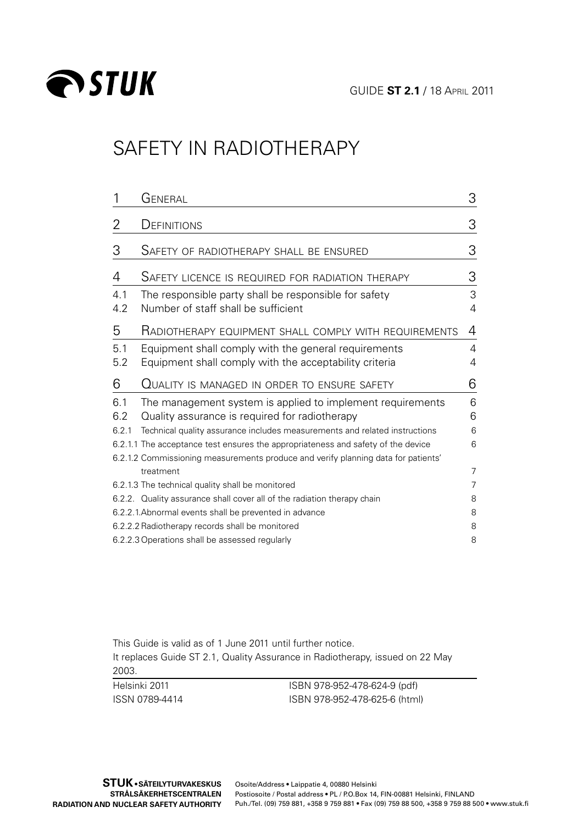

# SAFETY IN RADIOTHERAPY

|            | General                                                                                                                                                               | 3      |
|------------|-----------------------------------------------------------------------------------------------------------------------------------------------------------------------|--------|
| 2          | DEFINITIONS                                                                                                                                                           | 3      |
| З          | SAFETY OF RADIOTHERAPY SHALL BE ENSURED                                                                                                                               | 3      |
| 4          | SAFETY LICENCE IS REQUIRED FOR RADIATION THERAPY                                                                                                                      | 3      |
| 4.1<br>4.2 | The responsible party shall be responsible for safety<br>Number of staff shall be sufficient                                                                          | 3<br>4 |
| 5          | RADIOTHERAPY EQUIPMENT SHALL COMPLY WITH REQUIREMENTS                                                                                                                 | 4      |
| 5.1<br>5.2 | Equipment shall comply with the general requirements<br>Equipment shall comply with the acceptability criteria                                                        | 4<br>4 |
| 6          | Quality is managed in order to ensure safety                                                                                                                          | 6      |
| 6.1<br>6.2 | The management system is applied to implement requirements<br>Quality assurance is required for radiotherapy                                                          | 6<br>6 |
| 6.2.1      | Technical quality assurance includes measurements and related instructions                                                                                            | 6      |
|            | 6.2.1.1 The acceptance test ensures the appropriateness and safety of the device<br>6.2.1.2 Commissioning measurements produce and verify planning data for patients' | 6      |
|            | treatment                                                                                                                                                             | 7      |
|            |                                                                                                                                                                       |        |
|            | 6.2.1.3 The technical quality shall be monitored                                                                                                                      | 7      |
|            | 6.2.2. Quality assurance shall cover all of the radiation therapy chain                                                                                               | 8      |
|            | 6.2.2.1.Abnormal events shall be prevented in advance                                                                                                                 | 8      |
|            | 6.2.2.2 Radiotherapy records shall be monitored                                                                                                                       | 8      |

This Guide is valid as of 1 June 2011 until further notice. It replaces Guide ST 2.1, Quality Assurance in Radiotherapy, issued on 22 May 2003.

Helsinki 2011 ISSN 0789-4414

ISBN 978-952-478-624-9 (pdf) ISBN 978-952-478-625-6 (html)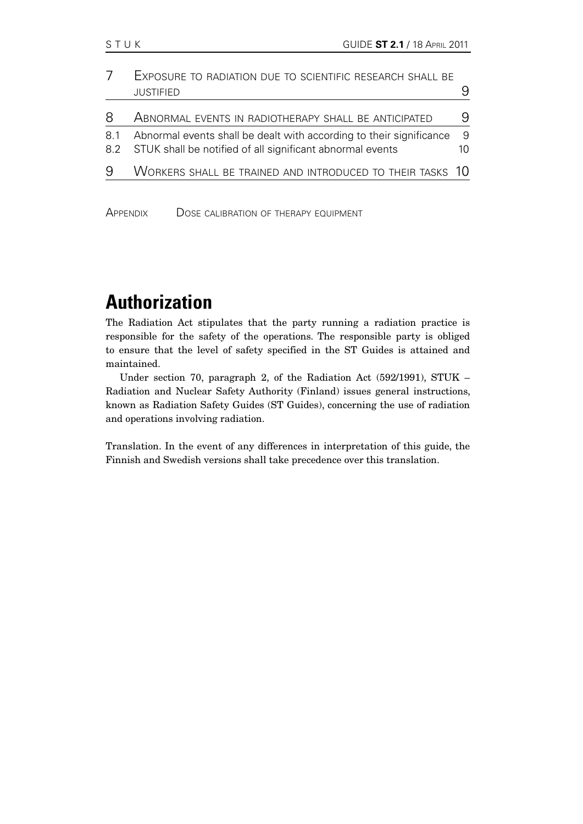|     | EXPOSURE TO RADIATION DUE TO SCIENTIFIC RESEARCH SHALL BE                                                                            |          |
|-----|--------------------------------------------------------------------------------------------------------------------------------------|----------|
|     | <b>JUSTIFIED</b>                                                                                                                     |          |
| 8   | ABNORMAL EVENTS IN RADIOTHERAPY SHALL BE ANTICIPATED                                                                                 | 9        |
| 8.1 | Abnormal events shall be dealt with according to their significance<br>8.2 STUK shall be notified of all significant abnormal events | -9<br>10 |
| 9   | WORKERS SHALL BE TRAINED AND INTRODUCED TO THEIR TASKS 10                                                                            |          |
|     |                                                                                                                                      |          |

APPENDIX DOSE CALIBRATION OF THERAPY EQUIPMENT

# **Authorization**

The Radiation Act stipulates that the party running a radiation practice is responsible for the safety of the operations. The responsible party is obliged to ensure that the level of safety specified in the ST Guides is attained and maintained.

Under section 70, paragraph 2, of the Radiation Act (592/1991), STUK – Radiation and Nuclear Safety Authority (Finland) issues general instructions, known as Radiation Safety Guides (ST Guides), concerning the use of radiation and operations involving radiation.

Translation. In the event of any differences in interpretation of this guide, the Finnish and Swedish versions shall take precedence over this translation.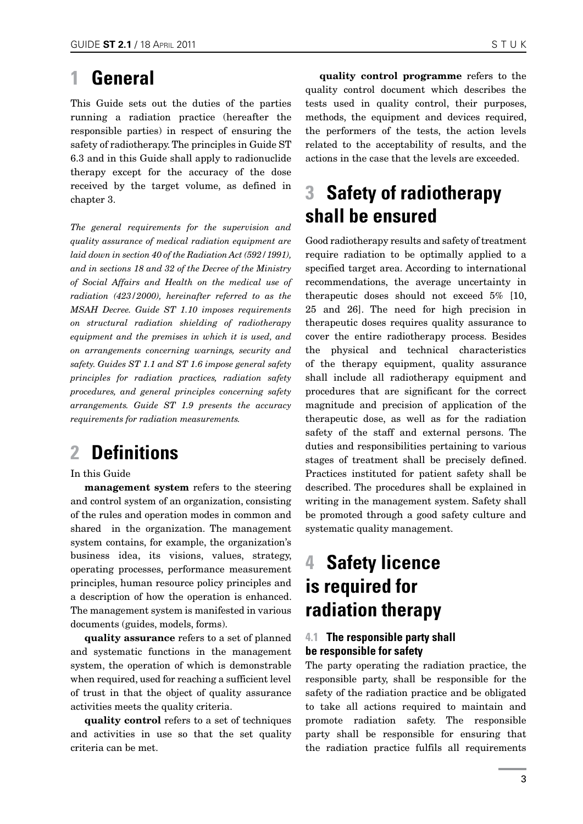# <span id="page-2-0"></span>**1 General**

This Guide sets out the duties of the parties running a radiation practice (hereafter the responsible parties) in respect of ensuring the safety of radiotherapy. The principles in Guide ST 6.3 and in this Guide shall apply to radionuclide therapy except for the accuracy of the dose received by the target volume, as defined in chapter 3.

*The general requirements for the supervision and quality assurance of medical radiation equipment are laid down in section 40 of the Radiation Act (592/1991), and in sections 18 and 32 of the Decree of the Ministry of Social Affairs and Health on the medical use of radiation (423/2000), hereinafter referred to as the MSAH Decree. Guide ST 1.10 imposes requirements on structural radiation shielding of radiotherapy equipment and the premises in which it is used, and on arrangements concerning warnings, security and safety. Guides ST 1.1 and ST 1.6 impose general safety principles for radiation practices, radiation safety procedures, and general principles concerning safety arrangements. Guide ST 1.9 presents the accuracy requirements for radiation measurements.*

# **2 Definitions**

#### In this Guide

management system refers to the steering and control system of an organization, consisting of the rules and operation modes in common and shared in the organization. The management system contains, for example, the organization's business idea, its visions, values, strategy, operating processes, performance measurement principles, human resource policy principles and a description of how the operation is enhanced. The management system is manifested in various documents (guides, models, forms).

quality assurance refers to a set of planned and systematic functions in the management system, the operation of which is demonstrable when required, used for reaching a sufficient level of trust in that the object of quality assurance activities meets the quality criteria.

quality control refers to a set of techniques and activities in use so that the set quality criteria can be met.

quality control programme refers to the quality control document which describes the tests used in quality control, their purposes, methods, the equipment and devices required, the performers of the tests, the action levels related to the acceptability of results, and the actions in the case that the levels are exceeded.

# **3 Safety of radiotherapy shall be ensured**

Good radiotherapy results and safety of treatment require radiation to be optimally applied to a specified target area. According to international recommendations, the average uncertainty in therapeutic doses should not exceed 5% [10, 25 and 26]. The need for high precision in therapeutic doses requires quality assurance to cover the entire radiotherapy process. Besides the physical and technical characteristics of the therapy equipment, quality assurance shall include all radiotherapy equipment and procedures that are significant for the correct magnitude and precision of application of the therapeutic dose, as well as for the radiation safety of the staff and external persons. The duties and responsibilities pertaining to various stages of treatment shall be precisely defined. Practices instituted for patient safety shall be described. The procedures shall be explained in writing in the management system. Safety shall be promoted through a good safety culture and systematic quality management.

# **4 Safety licence is required for radiation therapy**

### **4.1 The responsible party shall be responsible for safety**

The party operating the radiation practice, the responsible party, shall be responsible for the safety of the radiation practice and be obligated to take all actions required to maintain and promote radiation safety. The responsible party shall be responsible for ensuring that the radiation practice fulfils all requirements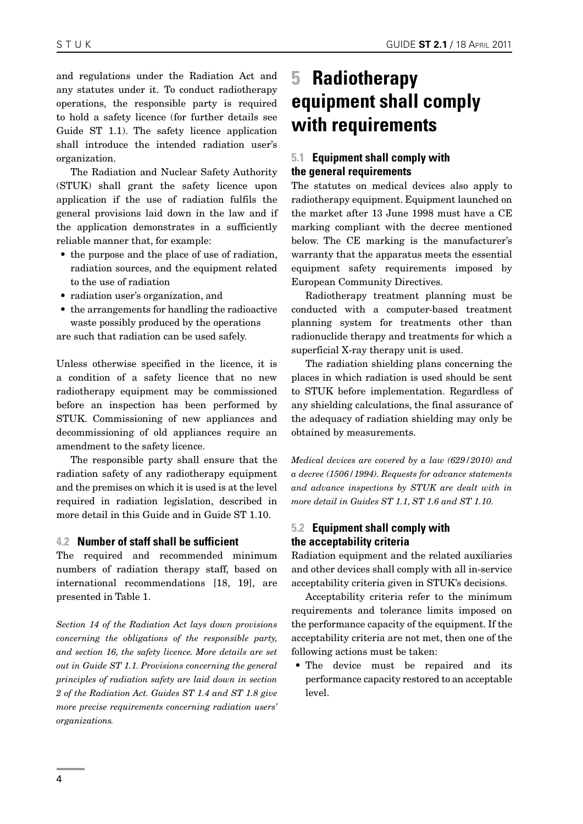<span id="page-3-0"></span>and regulations under the Radiation Act and any statutes under it. To conduct radiotherapy operations, the responsible party is required to hold a safety licence (for further details see Guide ST 1.1). The safety licence application shall introduce the intended radiation user's organization.

The Radiation and Nuclear Safety Authority (STUK) shall grant the safety licence upon application if the use of radiation fulfils the general provisions laid down in the law and if the application demonstrates in a sufficiently reliable manner that, for example:

- the purpose and the place of use of radiation. radiation sources, and the equipment related to the use of radiation
- radiation user's organization, and
- the arrangements for handling the radioactive waste possibly produced by the operations

are such that radiation can be used safely.

Unless otherwise specified in the licence, it is a condition of a safety licence that no new radiotherapy equipment may be commissioned before an inspection has been performed by STUK. Commissioning of new appliances and decommissioning of old appliances require an amendment to the safety licence.

The responsible party shall ensure that the radiation safety of any radiotherapy equipment and the premises on which it is used is at the level required in radiation legislation, described in more detail in this Guide and in Guide ST 1.10.

#### **4.2 Number of staff shall be sufficient**

The required and recommended minimum numbers of radiation therapy staff, based on international recommendations [18, 19], are presented in Table 1.

*Section 14 of the Radiation Act lays down provisions concerning the obligations of the responsible party, and section 16, the safety licence. More details are set out in Guide ST 1.1. Provisions concerning the general principles of radiation safety are laid down in section 2 of the Radiation Act. Guides ST 1.4 and ST 1.8 give more precise requirements concerning radiation users' organizations.*

# **5 Radiotherapy equipment shall comply with requirements**

### **5.1 Equipment shall comply with the general requirements**

The statutes on medical devices also apply to radiotherapy equipment. Equipment launched on the market after 13 June 1998 must have a CE marking compliant with the decree mentioned below. The CE marking is the manufacturer's warranty that the apparatus meets the essential equipment safety requirements imposed by European Community Directives.

Radiotherapy treatment planning must be conducted with a computer-based treatment planning system for treatments other than radionuclide therapy and treatments for which a superficial X-ray therapy unit is used.

The radiation shielding plans concerning the places in which radiation is used should be sent to STUK before implementation. Regardless of any shielding calculations, the final assurance of the adequacy of radiation shielding may only be obtained by measurements.

*Medical devices are covered by a law (629/2010) and a decree (1506/1994). Requests for advance statements and advance inspections by STUK are dealt with in more detail in Guides ST 1.1, ST 1.6 and ST 1.10.*

### **5.2 Equipment shall comply with the acceptability criteria**

Radiation equipment and the related auxiliaries and other devices shall comply with all in-service acceptability criteria given in STUK's decisions.

Acceptability criteria refer to the minimum requirements and tolerance limits imposed on the performance capacity of the equipment. If the acceptability criteria are not met, then one of the following actions must be taken:

• The device must be repaired and its performance capacity restored to an acceptable level.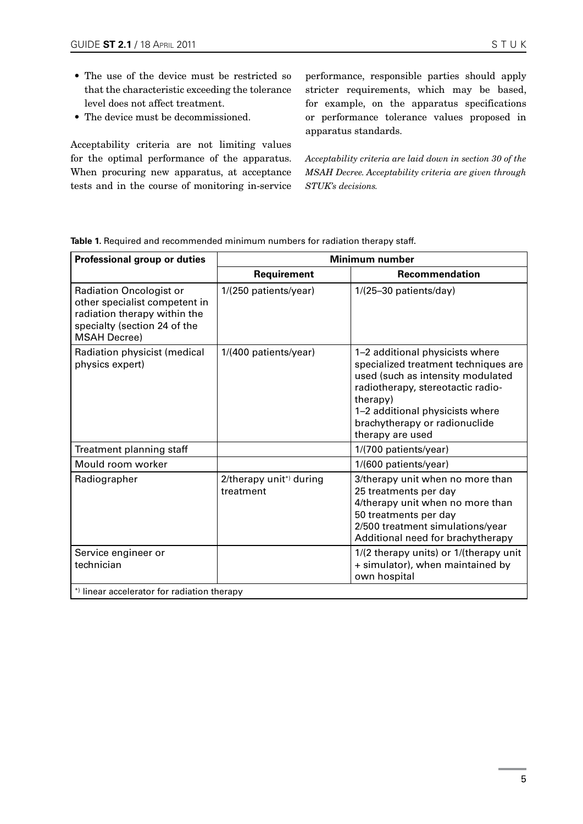- The use of the device must be restricted so that the characteristic exceeding the tolerance level does not affect treatment.
- The device must be decommissioned.

Acceptability criteria are not limiting values for the optimal performance of the apparatus. When procuring new apparatus, at acceptance tests and in the course of monitoring in-service

performance, responsible parties should apply stricter requirements, which may be based, for example, on the apparatus specifications or performance tolerance values proposed in apparatus standards.

*Acceptability criteria are laid down in section 30 of the MSAH Decree. Acceptability criteria are given through STUK's decisions.*

| Professional group or duties                                                                                                                           | Minimum number                       |                                                                                                                                                                                                                                                       |  |  |  |
|--------------------------------------------------------------------------------------------------------------------------------------------------------|--------------------------------------|-------------------------------------------------------------------------------------------------------------------------------------------------------------------------------------------------------------------------------------------------------|--|--|--|
|                                                                                                                                                        | Requirement                          | Recommendation                                                                                                                                                                                                                                        |  |  |  |
| <b>Radiation Oncologist or</b><br>other specialist competent in<br>radiation therapy within the<br>specialty (section 24 of the<br><b>MSAH Decree)</b> | 1/(250 patients/year)                | $1/(25-30$ patients/day)                                                                                                                                                                                                                              |  |  |  |
| Radiation physicist (medical<br>physics expert)                                                                                                        | 1/(400 patients/year)                | 1-2 additional physicists where<br>specialized treatment techniques are<br>used (such as intensity modulated<br>radiotherapy, stereotactic radio-<br>therapy)<br>1-2 additional physicists where<br>brachytherapy or radionuclide<br>therapy are used |  |  |  |
| Treatment planning staff                                                                                                                               |                                      | 1/(700 patients/year)                                                                                                                                                                                                                                 |  |  |  |
| Mould room worker                                                                                                                                      |                                      | 1/(600 patients/year)                                                                                                                                                                                                                                 |  |  |  |
| Radiographer                                                                                                                                           | 2/therapy unit*) during<br>treatment | 3/therapy unit when no more than<br>25 treatments per day<br>4/therapy unit when no more than<br>50 treatments per day<br>2/500 treatment simulations/year<br>Additional need for brachytherapy                                                       |  |  |  |
| Service engineer or<br>technician                                                                                                                      |                                      | 1/(2 therapy units) or 1/(therapy unit<br>+ simulator), when maintained by<br>own hospital                                                                                                                                                            |  |  |  |
| *) linear accelerator for radiation therapy                                                                                                            |                                      |                                                                                                                                                                                                                                                       |  |  |  |

**Table 1.** Required and recommended minimum numbers for radiation therapy staff.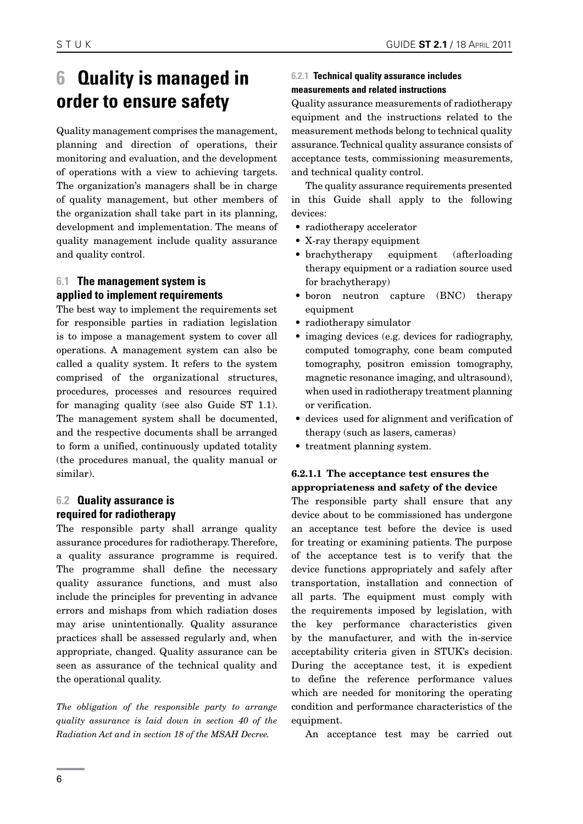# <span id="page-5-0"></span>**6 Quality is managed in order to ensure safety**

Quality management comprises the management, planning and direction of operations, their monitoring and evaluation, and the development of operations with a view to achieving targets. The organization's managers shall be in charge of quality management, but other members of the organization shall take part in its planning, development and implementation. The means of quality management include quality assurance and quality control.

# **6.1 The management system is applied to implement requirements**

The best way to implement the requirements set for responsible parties in radiation legislation is to impose a management system to cover all operations. A management system can also be called a quality system. It refers to the system comprised of the organizational structures, procedures, processes and resources required for managing quality (see also Guide ST 1.1). The management system shall be documented, and the respective documents shall be arranged to form a unified, continuously updated totality (the procedures manual, the quality manual or similar).

# **6.2 Quality assurance is required for radiotherapy**

The responsible party shall arrange quality assurance procedures for radiotherapy. Therefore, a quality assurance programme is required. The programme shall define the necessary quality assurance functions, and must also include the principles for preventing in advance errors and mishaps from which radiation doses may arise unintentionally. Quality assurance practices shall be assessed regularly and, when appropriate, changed. Quality assurance can be seen as assurance of the technical quality and the operational quality.

*The obligation of the responsible party to arrange quality assurance is laid down in section 40 of the Radiation Act and in section 18 of the MSAH Decree.*

### **6.2.1 Technical quality assurance includes measurements and related instructions**

Quality assurance measurements of radiotherapy equipment and the instructions related to the measurement methods belong to technical quality assurance. Technical quality assurance consists of acceptance tests, commissioning measurements, and technical quality control.

The quality assurance requirements presented in this Guide shall apply to the following devices:

- radiotherapy accelerator
- • X-ray therapy equipment
- brachytherapy equipment (afterloading therapy equipment or a radiation source used for brachytherapy)
- boron neutron capture (BNC) therapy equipment
- radiotherapy simulator
- imaging devices (e.g. devices for radiography, computed tomography, cone beam computed tomography, positron emission tomography, magnetic resonance imaging, and ultrasound), when used in radiotherapy treatment planning or verification.
- devices used for alignment and verification of therapy (such as lasers, cameras)
- treatment planning system.

# 6.2.1.1 The acceptance test ensures the appropriateness and safety of the device

The responsible party shall ensure that any device about to be commissioned has undergone an acceptance test before the device is used for treating or examining patients. The purpose of the acceptance test is to verify that the device functions appropriately and safely after transportation, installation and connection of all parts. The equipment must comply with the requirements imposed by legislation, with the key performance characteristics given by the manufacturer, and with the in-service acceptability criteria given in STUK's decision. During the acceptance test, it is expedient to define the reference performance values which are needed for monitoring the operating condition and performance characteristics of the equipment.

An acceptance test may be carried out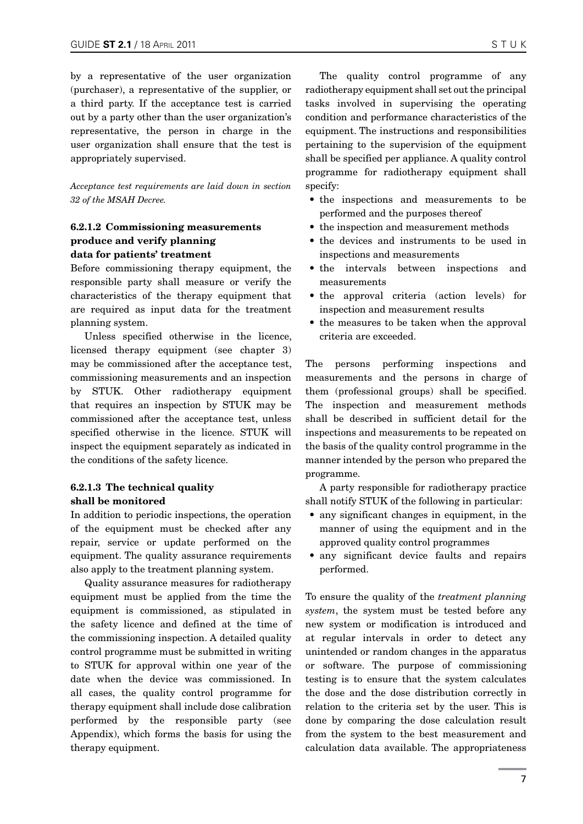<span id="page-6-0"></span>by a representative of the user organization (purchaser), a representative of the supplier, or a third party. If the acceptance test is carried out by a party other than the user organization's representative, the person in charge in the user organization shall ensure that the test is appropriately supervised.

*Acceptance test requirements are laid down in section 32 of the MSAH Decree.*

### 6.2.1.2 Commissioning measurements produce and verify planning data for patients' treatment

Before commissioning therapy equipment, the responsible party shall measure or verify the characteristics of the therapy equipment that are required as input data for the treatment planning system.

Unless specified otherwise in the licence, licensed therapy equipment (see chapter 3) may be commissioned after the acceptance test, commissioning measurements and an inspection by STUK. Other radiotherapy equipment that requires an inspection by STUK may be commissioned after the acceptance test, unless specified otherwise in the licence. STUK will inspect the equipment separately as indicated in the conditions of the safety licence.

#### 6.2.1.3 The technical quality shall be monitored

In addition to periodic inspections, the operation of the equipment must be checked after any repair, service or update performed on the equipment. The quality assurance requirements also apply to the treatment planning system.

Quality assurance measures for radiotherapy equipment must be applied from the time the equipment is commissioned, as stipulated in the safety licence and defined at the time of the commissioning inspection. A detailed quality control programme must be submitted in writing to STUK for approval within one year of the date when the device was commissioned. In all cases, the quality control programme for therapy equipment shall include dose calibration performed by the responsible party (see Appendix), which forms the basis for using the therapy equipment.

The quality control programme of any radiotherapy equipment shall set out the principal tasks involved in supervising the operating condition and performance characteristics of the equipment. The instructions and responsibilities pertaining to the supervision of the equipment shall be specified per appliance. A quality control programme for radiotherapy equipment shall specify:

- the inspections and measurements to be performed and the purposes thereof
- the inspection and measurement methods
- the devices and instruments to be used in inspections and measurements
- the intervals between inspections and measurements
- the approval criteria (action levels) for inspection and measurement results
- the measures to be taken when the approval criteria are exceeded.

The persons performing inspections and measurements and the persons in charge of them (professional groups) shall be specified. The inspection and measurement methods shall be described in sufficient detail for the inspections and measurements to be repeated on the basis of the quality control programme in the manner intended by the person who prepared the programme.

A party responsible for radiotherapy practice shall notify STUK of the following in particular:

- any significant changes in equipment, in the manner of using the equipment and in the approved quality control programmes
- any significant device faults and repairs performed.

To ensure the quality of the *treatment planning system*, the system must be tested before any new system or modification is introduced and at regular intervals in order to detect any unintended or random changes in the apparatus or software. The purpose of commissioning testing is to ensure that the system calculates the dose and the dose distribution correctly in relation to the criteria set by the user. This is done by comparing the dose calculation result from the system to the best measurement and calculation data available. The appropriateness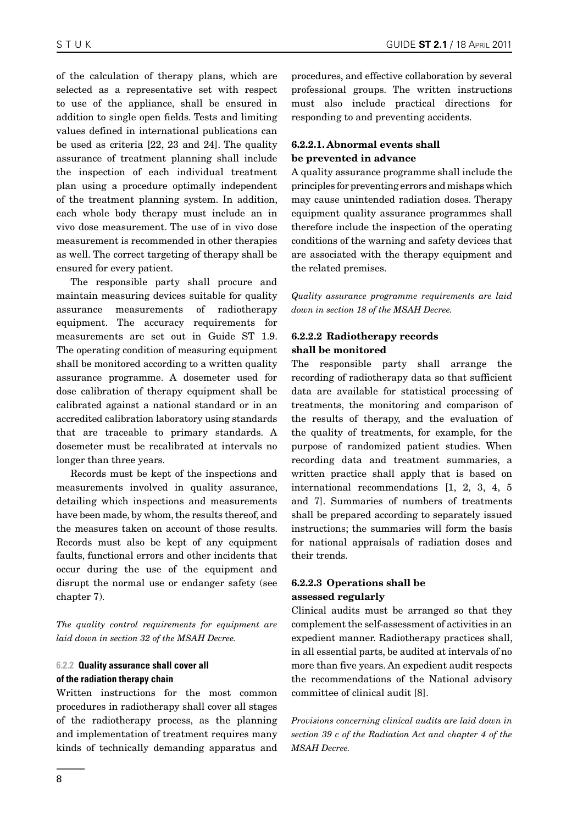<span id="page-7-0"></span>of the calculation of therapy plans, which are selected as a representative set with respect to use of the appliance, shall be ensured in addition to single open fields. Tests and limiting values defined in international publications can be used as criteria [22, 23 and 24]. The quality assurance of treatment planning shall include the inspection of each individual treatment plan using a procedure optimally independent of the treatment planning system. In addition, each whole body therapy must include an in vivo dose measurement. The use of in vivo dose measurement is recommended in other therapies as well. The correct targeting of therapy shall be ensured for every patient.

The responsible party shall procure and maintain measuring devices suitable for quality assurance measurements of radiotherapy equipment. The accuracy requirements for measurements are set out in Guide ST 1.9. The operating condition of measuring equipment shall be monitored according to a written quality assurance programme. A dosemeter used for dose calibration of therapy equipment shall be calibrated against a national standard or in an accredited calibration laboratory using standards that are traceable to primary standards. A dosemeter must be recalibrated at intervals no longer than three years.

Records must be kept of the inspections and measurements involved in quality assurance, detailing which inspections and measurements have been made, by whom, the results thereof, and the measures taken on account of those results. Records must also be kept of any equipment faults, functional errors and other incidents that occur during the use of the equipment and disrupt the normal use or endanger safety (see chapter 7).

*The quality control requirements for equipment are laid down in section 32 of the MSAH Decree.*

#### **6.2.2 Quality assurance shall cover all of the radiation therapy chain**

Written instructions for the most common procedures in radiotherapy shall cover all stages of the radiotherapy process, as the planning and implementation of treatment requires many kinds of technically demanding apparatus and procedures, and effective collaboration by several professional groups. The written instructions must also include practical directions for responding to and preventing accidents.

### 6.2.2.1. Abnormal events shall be prevented in advance

A quality assurance programme shall include the principles for preventing errors and mishaps which may cause unintended radiation doses. Therapy equipment quality assurance programmes shall therefore include the inspection of the operating conditions of the warning and safety devices that are associated with the therapy equipment and the related premises.

*Quality assurance programme requirements are laid down in section 18 of the MSAH Decree.* 

### 6.2.2.2 Radiotherapy records shall be monitored

The responsible party shall arrange the recording of radiotherapy data so that sufficient data are available for statistical processing of treatments, the monitoring and comparison of the results of therapy, and the evaluation of the quality of treatments, for example, for the purpose of randomized patient studies. When recording data and treatment summaries, a written practice shall apply that is based on international recommendations [1, 2, 3, 4, 5 and 7]. Summaries of numbers of treatments shall be prepared according to separately issued instructions; the summaries will form the basis for national appraisals of radiation doses and their trends.

# 6.2.2.3 Operations shall be assessed regularly

Clinical audits must be arranged so that they complement the self-assessment of activities in an expedient manner. Radiotherapy practices shall, in all essential parts, be audited at intervals of no more than five years. An expedient audit respects the recommendations of the National advisory committee of clinical audit [8].

*Provisions concerning clinical audits are laid down in section 39 c of the Radiation Act and chapter 4 of the MSAH Decree.*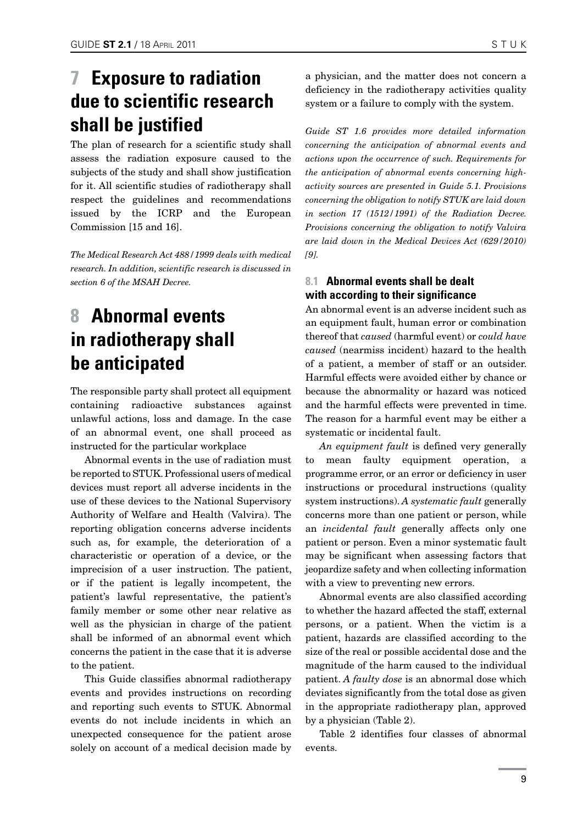# <span id="page-8-0"></span>**7 Exposure to radiation due to scientific research shall be justified**

The plan of research for a scientific study shall assess the radiation exposure caused to the subjects of the study and shall show justification for it. All scientific studies of radiotherapy shall respect the guidelines and recommendations issued by the ICRP and the European Commission [15 and 16].

*The Medical Research Act 488/1999 deals with medical research. In addition, scientific research is discussed in section 6 of the MSAH Decree.*

# **8 Abnormal events in radiotherapy shall be anticipated**

The responsible party shall protect all equipment containing radioactive substances against unlawful actions, loss and damage. In the case of an abnormal event, one shall proceed as instructed for the particular workplace

Abnormal events in the use of radiation must be reported to STUK. Professional users of medical devices must report all adverse incidents in the use of these devices to the National Supervisory Authority of Welfare and Health (Valvira). The reporting obligation concerns adverse incidents such as, for example, the deterioration of a characteristic or operation of a device, or the imprecision of a user instruction. The patient, or if the patient is legally incompetent, the patient's lawful representative, the patient's family member or some other near relative as well as the physician in charge of the patient shall be informed of an abnormal event which concerns the patient in the case that it is adverse to the patient.

This Guide classifies abnormal radiotherapy events and provides instructions on recording and reporting such events to STUK. Abnormal events do not include incidents in which an unexpected consequence for the patient arose solely on account of a medical decision made by a physician, and the matter does not concern a deficiency in the radiotherapy activities quality system or a failure to comply with the system.

*Guide ST 1.6 provides more detailed information concerning the anticipation of abnormal events and actions upon the occurrence of such. Requirements for the anticipation of abnormal events concerning highactivity sources are presented in Guide 5.1. Provisions concerning the obligation to notify STUK are laid down in section 17 (1512/1991) of the Radiation Decree. Provisions concerning the obligation to notify Valvira are laid down in the Medical Devices Act (629/2010) [9].*

# **8.1 Abnormal events shall be dealt with according to their significance**

An abnormal event is an adverse incident such as an equipment fault, human error or combination thereof that *caused* (harmful event) or *could have caused* (nearmiss incident) hazard to the health of a patient, a member of staff or an outsider. Harmful effects were avoided either by chance or because the abnormality or hazard was noticed and the harmful effects were prevented in time. The reason for a harmful event may be either a systematic or incidental fault.

*An equipment fault* is defined very generally to mean faulty equipment operation, a programme error, or an error or deficiency in user instructions or procedural instructions (quality system instructions). *A systematic fault* generally concerns more than one patient or person, while an *incidental fault* generally affects only one patient or person. Even a minor systematic fault may be significant when assessing factors that jeopardize safety and when collecting information with a view to preventing new errors.

Abnormal events are also classified according to whether the hazard affected the staff, external persons, or a patient. When the victim is a patient, hazards are classified according to the size of the real or possible accidental dose and the magnitude of the harm caused to the individual patient. *A faulty dose* is an abnormal dose which deviates significantly from the total dose as given in the appropriate radiotherapy plan, approved by a physician (Table 2).

Table 2 identifies four classes of abnormal events.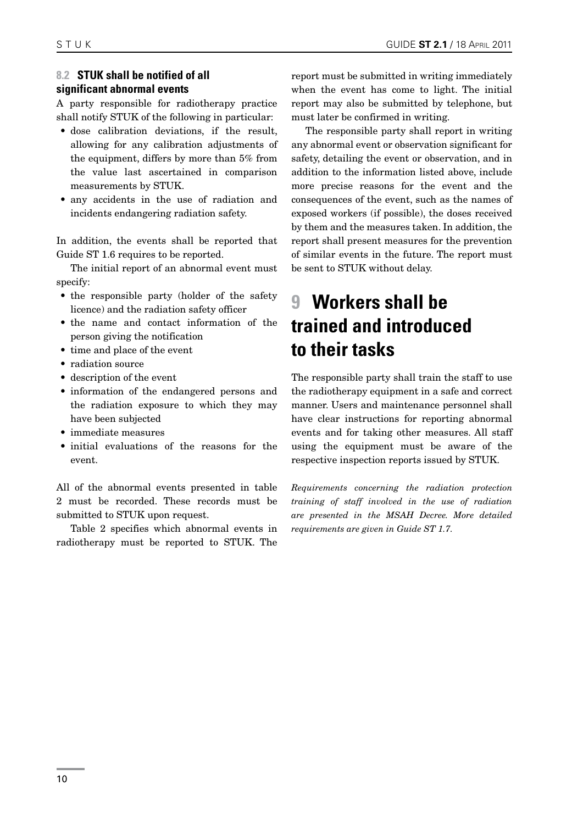### <span id="page-9-0"></span>**8.2 STUK shall be notified of all significant abnormal events**

A party responsible for radiotherapy practice shall notify STUK of the following in particular:

- dose calibration deviations, if the result, allowing for any calibration adjustments of the equipment, differs by more than 5% from the value last ascertained in comparison measurements by STUK.
- any accidents in the use of radiation and incidents endangering radiation safety.

In addition, the events shall be reported that Guide ST 1.6 requires to be reported.

The initial report of an abnormal event must specify:

- the responsible party (holder of the safety licence) and the radiation safety officer
- the name and contact information of the person giving the notification
- time and place of the event
- radiation source
- • description of the event
- information of the endangered persons and the radiation exposure to which they may have been subjected
- immediate measures
- • initial evaluations of the reasons for the event.

All of the abnormal events presented in table 2 must be recorded. These records must be submitted to STUK upon request.

Table 2 specifies which abnormal events in radiotherapy must be reported to STUK. The report must be submitted in writing immediately when the event has come to light. The initial report may also be submitted by telephone, but must later be confirmed in writing.

The responsible party shall report in writing any abnormal event or observation significant for safety, detailing the event or observation, and in addition to the information listed above, include more precise reasons for the event and the consequences of the event, such as the names of exposed workers (if possible), the doses received by them and the measures taken. In addition, the report shall present measures for the prevention of similar events in the future. The report must be sent to STUK without delay.

# **9 Workers shall be trained and introduced to their tasks**

The responsible party shall train the staff to use the radiotherapy equipment in a safe and correct manner. Users and maintenance personnel shall have clear instructions for reporting abnormal events and for taking other measures. All staff using the equipment must be aware of the respective inspection reports issued by STUK.

*Requirements concerning the radiation protection training of staff involved in the use of radiation are presented in the MSAH Decree. More detailed requirements are given in Guide ST 1.7.*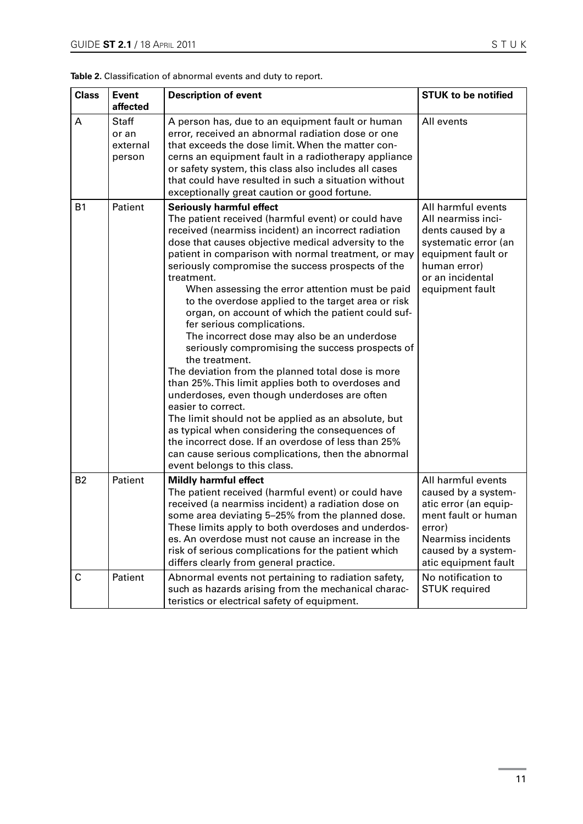| Table 2. Classification of abnormal events and duty to report. |  |  |  |
|----------------------------------------------------------------|--|--|--|
|----------------------------------------------------------------|--|--|--|

| <b>Class</b>   | <b>Event</b><br>affected                    | <b>Description of event</b>                                                                                                                                                                                                                                                                                                                                                                                                                                                                                                                                                                                                                                                                                                                                                                                                                                                                                                                                                                                                                                                           | <b>STUK to be notified</b>                                                                                                                                               |
|----------------|---------------------------------------------|---------------------------------------------------------------------------------------------------------------------------------------------------------------------------------------------------------------------------------------------------------------------------------------------------------------------------------------------------------------------------------------------------------------------------------------------------------------------------------------------------------------------------------------------------------------------------------------------------------------------------------------------------------------------------------------------------------------------------------------------------------------------------------------------------------------------------------------------------------------------------------------------------------------------------------------------------------------------------------------------------------------------------------------------------------------------------------------|--------------------------------------------------------------------------------------------------------------------------------------------------------------------------|
| A              | <b>Staff</b><br>or an<br>external<br>person | A person has, due to an equipment fault or human<br>error, received an abnormal radiation dose or one<br>that exceeds the dose limit. When the matter con-<br>cerns an equipment fault in a radiotherapy appliance<br>or safety system, this class also includes all cases<br>that could have resulted in such a situation without<br>exceptionally great caution or good fortune.                                                                                                                                                                                                                                                                                                                                                                                                                                                                                                                                                                                                                                                                                                    | All events                                                                                                                                                               |
| <b>B1</b>      | Patient                                     | <b>Seriously harmful effect</b><br>The patient received (harmful event) or could have<br>received (nearmiss incident) an incorrect radiation<br>dose that causes objective medical adversity to the<br>patient in comparison with normal treatment, or may<br>seriously compromise the success prospects of the<br>treatment.<br>When assessing the error attention must be paid<br>to the overdose applied to the target area or risk<br>organ, on account of which the patient could suf-<br>fer serious complications.<br>The incorrect dose may also be an underdose<br>seriously compromising the success prospects of<br>the treatment.<br>The deviation from the planned total dose is more<br>than 25%. This limit applies both to overdoses and<br>underdoses, even though underdoses are often<br>easier to correct.<br>The limit should not be applied as an absolute, but<br>as typical when considering the consequences of<br>the incorrect dose. If an overdose of less than 25%<br>can cause serious complications, then the abnormal<br>event belongs to this class. | All harmful events<br>All nearmiss inci-<br>dents caused by a<br>systematic error (an<br>equipment fault or<br>human error)<br>or an incidental<br>equipment fault       |
| B <sub>2</sub> | Patient                                     | <b>Mildly harmful effect</b><br>The patient received (harmful event) or could have<br>received (a nearmiss incident) a radiation dose on<br>some area deviating 5-25% from the planned dose.<br>These limits apply to both overdoses and underdos-<br>es. An overdose must not cause an increase in the<br>risk of serious complications for the patient which<br>differs clearly from general practice.                                                                                                                                                                                                                                                                                                                                                                                                                                                                                                                                                                                                                                                                              | All harmful events<br>caused by a system-<br>atic error (an equip-<br>ment fault or human<br>error)<br>Nearmiss incidents<br>caused by a system-<br>atic equipment fault |
| C              | Patient                                     | Abnormal events not pertaining to radiation safety,<br>such as hazards arising from the mechanical charac-<br>teristics or electrical safety of equipment.                                                                                                                                                                                                                                                                                                                                                                                                                                                                                                                                                                                                                                                                                                                                                                                                                                                                                                                            | No notification to<br><b>STUK</b> required                                                                                                                               |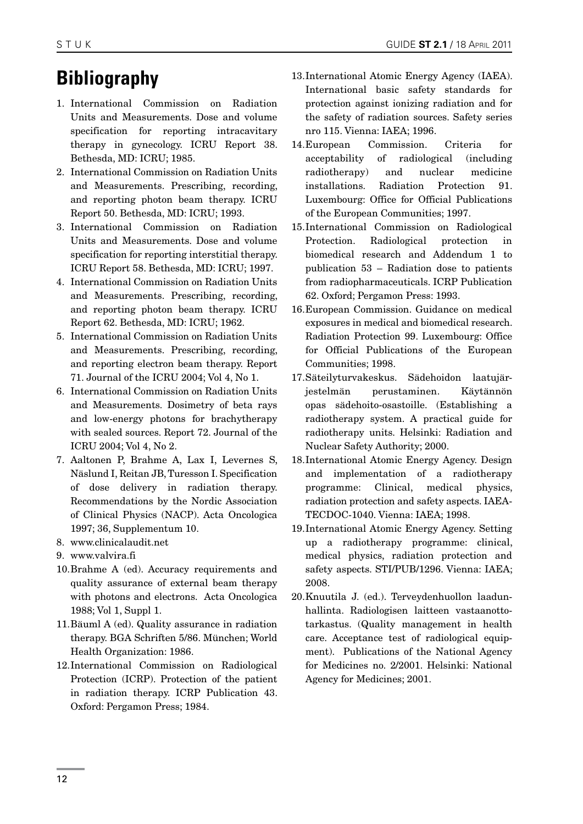# **Bibliography**

- 1. International Commission on Radiation Units and Measurements. Dose and volume specification for reporting intracavitary therapy in gynecology. ICRU Report 38. Bethesda, MD: ICRU; 1985.
- 2. International Commission on Radiation Units and Measurements. Prescribing, recording, and reporting photon beam therapy. ICRU Report 50. Bethesda, MD: ICRU; 1993.
- 3. International Commission on Radiation Units and Measurements. Dose and volume specification for reporting interstitial therapy. ICRU Report 58. Bethesda, MD: ICRU; 1997.
- 4. International Commission on Radiation Units and Measurements. Prescribing, recording, and reporting photon beam therapy. ICRU Report 62. Bethesda, MD: ICRU; 1962.
- 5. International Commission on Radiation Units and Measurements. Prescribing, recording, and reporting electron beam therapy. Report 71. Journal of the ICRU 2004; Vol 4, No 1.
- 6. International Commission on Radiation Units and Measurements. Dosimetry of beta rays and low-energy photons for brachytherapy with sealed sources. Report 72. Journal of the ICRU 2004; Vol 4, No 2.
- 7. Aaltonen P, Brahme A, Lax I, Levernes S, Näslund I, Reitan JB, Turesson I. Specification of dose delivery in radiation therapy. Recommendations by the Nordic Association of Clinical Physics (NACP). Acta Oncologica 1997; 36, Supplementum 10.
- 8. www.clinicalaudit.net
- 9. www.valvira.fi
- 10.Brahme A (ed). Accuracy requirements and quality assurance of external beam therapy with photons and electrons. Acta Oncologica 1988; Vol 1, Suppl 1.
- 11.Bäuml A (ed). Quality assurance in radiation therapy. BGA Schriften 5/86. München; World Health Organization: 1986.
- 12.International Commission on Radiological Protection (ICRP). Protection of the patient in radiation therapy. ICRP Publication 43. Oxford: Pergamon Press; 1984.
- 13.International Atomic Energy Agency (IAEA). International basic safety standards for protection against ionizing radiation and for the safety of radiation sources. Safety series nro 115. Vienna: IAEA; 1996.
- 14.European Commission. Criteria for acceptability of radiological (including radiotherapy) and nuclear medicine installations. Radiation Protection 91. Luxembourg: Office for Official Publications of the European Communities; 1997.
- 15.International Commission on Radiological Protection. Radiological protection in biomedical research and Addendum 1 to publication 53 – Radiation dose to patients from radiopharmaceuticals. ICRP Publication 62. Oxford; Pergamon Press: 1993.
- 16.European Commission. Guidance on medical exposures in medical and biomedical research. Radiation Protection 99. Luxembourg: Office for Official Publications of the European Communities; 1998.
- 17.Säteilyturvakeskus. Sädehoidon laatujärjestelmän perustaminen. Käytännön opas sädehoito-osastoille. (Establishing a radiotherapy system. A practical guide for radiotherapy units. Helsinki: Radiation and Nuclear Safety Authority; 2000.
- 18.International Atomic Energy Agency. Design and implementation of a radiotherapy programme: Clinical, medical physics, radiation protection and safety aspects. IAEA-TECDOC-1040. Vienna: IAEA; 1998.
- 19.International Atomic Energy Agency. Setting up a radiotherapy programme: clinical, medical physics, radiation protection and safety aspects. STI/PUB/1296. Vienna: IAEA; 2008.
- 20.Knuutila J. (ed.). Terveydenhuollon laadunhallinta. Radiologisen laitteen vastaanottotarkastus. (Quality management in health care. Acceptance test of radiological equipment). Publications of the National Agency for Medicines no. 2/2001. Helsinki: National Agency for Medicines; 2001.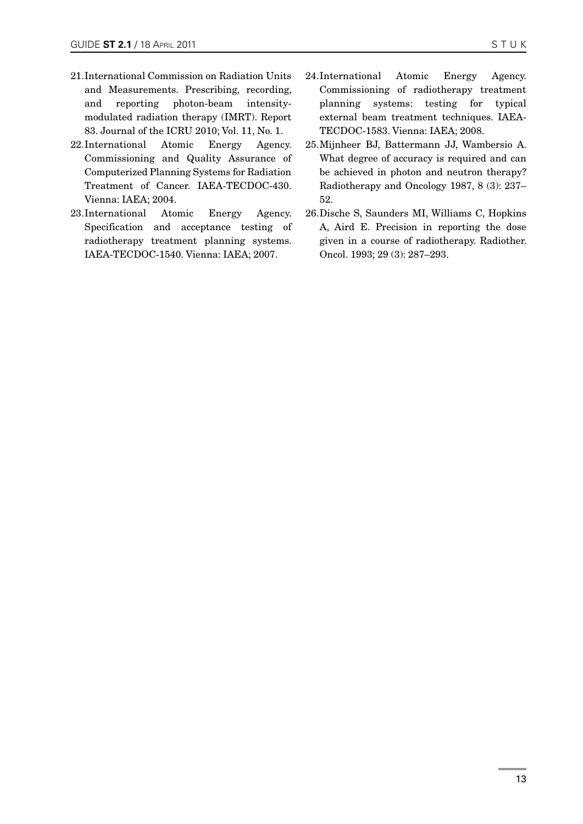- 21.International Commission on Radiation Units and Measurements. Prescribing, recording, and reporting photon-beam intensitymodulated radiation therapy (IMRT). Report 83. Journal of the ICRU 2010; Vol. 11, No. 1.
- 22.International Atomic Energy Agency. Commissioning and Quality Assurance of Computerized Planning Systems for Radiation Treatment of Cancer. IAEA-TECDOC-430. Vienna: IAEA; 2004.
- 23.International Atomic Energy Agency. Specification and acceptance testing of radiotherapy treatment planning systems. IAEA-TECDOC-1540. Vienna: IAEA; 2007.
- 24.International Atomic Energy Agency. Commissioning of radiotherapy treatment planning systems: testing for typical external beam treatment techniques. IAEA-TECDOC-1583. Vienna: IAEA; 2008.
- 25.Mijnheer BJ, Battermann JJ, Wambersio A. What degree of accuracy is required and can be achieved in photon and neutron therapy? Radiotherapy and Oncology 1987, 8 (3): 237– 52.
- 26.Dische S, Saunders MI, Williams C, Hopkins A, Aird E. Precision in reporting the dose given in a course of radiotherapy. Radiother. Oncol. 1993; 29 (3): 287–293.